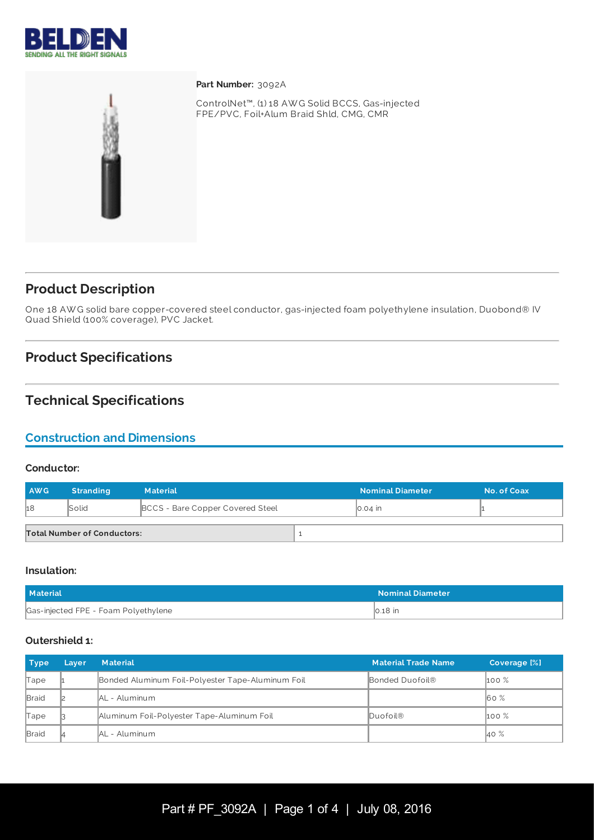



Part Number: 3092A

ControlNet™, (1) 18 AW G Solid BCCS, Gas-injected FPE/PVC, Foil+Alum Braid Shld, CMG, CMR

# **Product Description**

One 18 AW G solid bare copper-covered steel conductor, gas-injected foam polyethylene insulation, Duobond® IV Quad Shield (100% coverage), PVC Jacket.

# **Product Specifications**

# **Technical Specifications**

# **Construction and Dimensions**

#### **Conductor:**

| <b>AWG</b> | <b>Stranding</b>                   | <b>Material</b>                  |  | <b>Nominal Diameter</b> | No. of Coax |
|------------|------------------------------------|----------------------------------|--|-------------------------|-------------|
| h8         | Solid                              | BCCS - Bare Copper Covered Steel |  | $\vert$ 0.04 in         |             |
|            | <b>Total Number of Conductors:</b> |                                  |  |                         |             |

#### **Insulation:**

| <b>Material</b>                      | <b>Nominal Diameter</b> |
|--------------------------------------|-------------------------|
| Gas-injected FPE - Foam Polyethylene | $\vert$ 0.18 in         |

#### **Outershield 1:**

| <b>Type</b>  | Layer | <b>Material</b>                                   | <b>Material Trade Name</b> | <b>Coverage [%]</b> |
|--------------|-------|---------------------------------------------------|----------------------------|---------------------|
| Tape         |       | Bonded Aluminum Foil-Polyester Tape-Aluminum Foil | Bonded Duofoil®            | $100\%$             |
| <b>Braid</b> |       | <b>AL</b> - Aluminum                              |                            | $\overline{60}$ %   |
| Tape         |       | Aluminum Foil-Polyester Tape-Aluminum Foil        | Duofoil®                   | $\mathsf{100\%}$    |
| <b>Braid</b> |       | AL - Aluminum                                     |                            | 40 %                |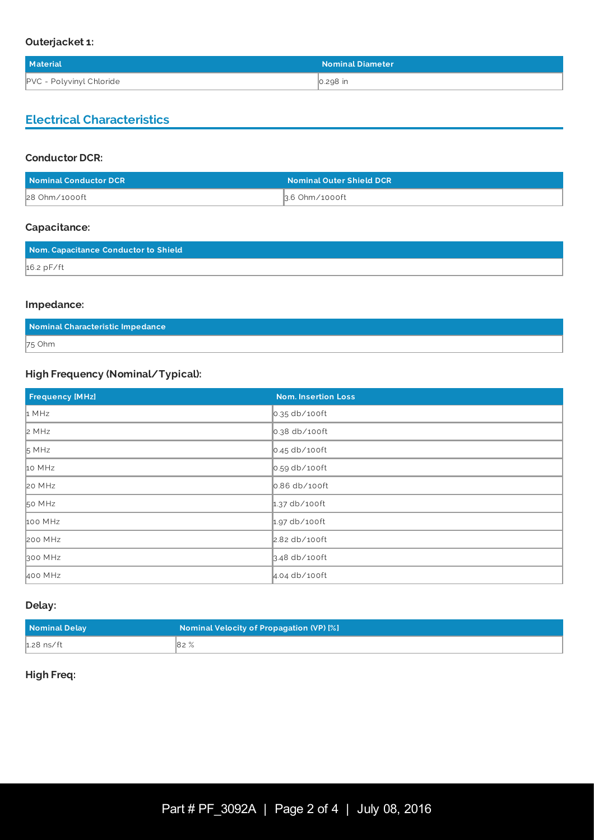### **Outerjacket 1:**

| <b>Material</b>          | <b>Nominal Diameter</b> |
|--------------------------|-------------------------|
| PVC - Polyvinyl Chloride | 0.298 in                |

# **Electrical Characteristics**

### **Conductor DCR:**

| Nominal Conductor DCR | <b>Nominal Outer Shield DCR</b> |
|-----------------------|---------------------------------|
| 28 Ohm/1000ft         | 3.6 Ohm∕1000ft                  |

### **Capacitance:**

| Nom. Capacitance Conductor to Shield |  |
|--------------------------------------|--|
| $16.2$ pF/ft                         |  |

### **Impedance:**

| Nominal Characteristic Impedance |  |
|----------------------------------|--|
| 75 Ohm                           |  |

# **High Frequency (Nominal/Typical):**

| <b>Frequency [MHz]</b> | <b>Nom. Insertion Loss</b> |
|------------------------|----------------------------|
| 1 MHz                  | 0.35 db/100ft              |
| 2 MHz                  | 0.38 db/100ft              |
| 5 MHz                  | $\vert$ 0.45 db/100ft      |
| 10 MHz                 | $\vert$ 0.59 db/100ft      |
| 20 MHz                 | 0.86 db/100ft              |
| 50 MHz                 | $1.37$ db/100ft            |
| 100 MHz                | $1.97$ db/100ft            |
| 200 MHz                | 2.82 db/100ft              |
| 300 MHz                | 3.48 db/100ft              |
| 400 MHz                | $4.04$ db/100ft            |

#### **Delay:**

| Nominal Delay | Nominal Velocity of Propagation (VP) [%] |
|---------------|------------------------------------------|
| $1.28$ ns/ft  | 82%                                      |

## **High Freq:**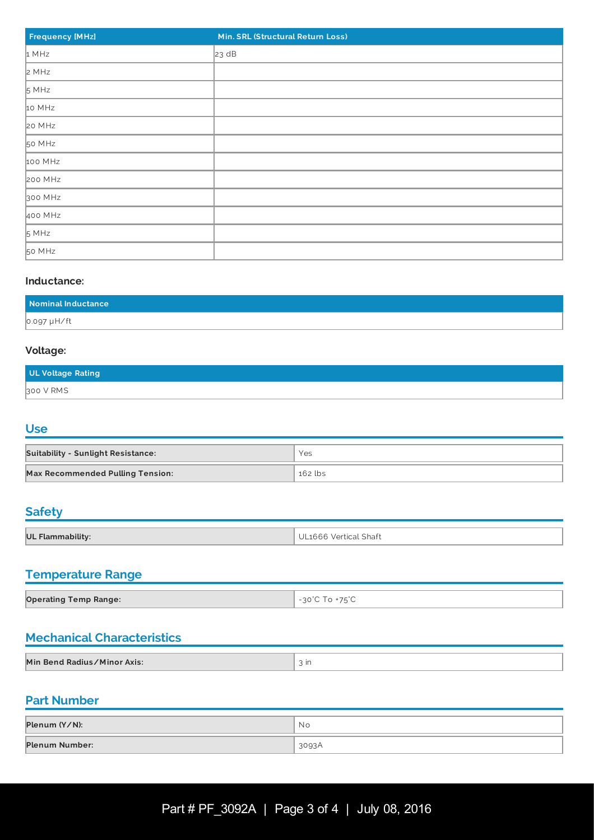| <b>Frequency [MHz]</b> | Min. SRL (Structural Return Loss) |
|------------------------|-----------------------------------|
| 1 MHz                  | 23 dB                             |
| 2 MHz                  |                                   |
| 5 MHz                  |                                   |
| 10 MHz                 |                                   |
| 20 MHz                 |                                   |
| 50 MHz                 |                                   |
| 100 MHz                |                                   |
| 200 MHz                |                                   |
| 300 MHz                |                                   |
| 400 MHz                |                                   |
| 5 MHz                  |                                   |
| 50 MHz                 |                                   |

### **Inductance:**

| Nominal Inductance |  |
|--------------------|--|
| 0.097 µH/ft        |  |

### **Voltage:**

| UL Voltage Rating |  |
|-------------------|--|
| 300 V RMS         |  |

### **Use**

| <b>Suitability - Sunlight Resistance:</b> | Yes     |
|-------------------------------------------|---------|
| <b>Max Recommended Pulling Tension:</b>   | 162 lbs |

# **Safety**

| <b>UL Flam</b> | Vertical Shaft<br>$\mathbf{H}$<br>1666 |
|----------------|----------------------------------------|

# **Temperature Range**

| <b>Operating Temp Range:</b> | $\sim 1.7e^{0}$<br>$\cap$ $\cap$ $\check{\,}$<br>and the control of the con- |
|------------------------------|------------------------------------------------------------------------------|

# **Mechanical Characteristics**

| Min Bend Radius/Minor Axis: | ın |
|-----------------------------|----|
|                             |    |

## **Part Number**

| Plenum (Y/N):  | Νo    |
|----------------|-------|
| Plenum Number: | 3093A |